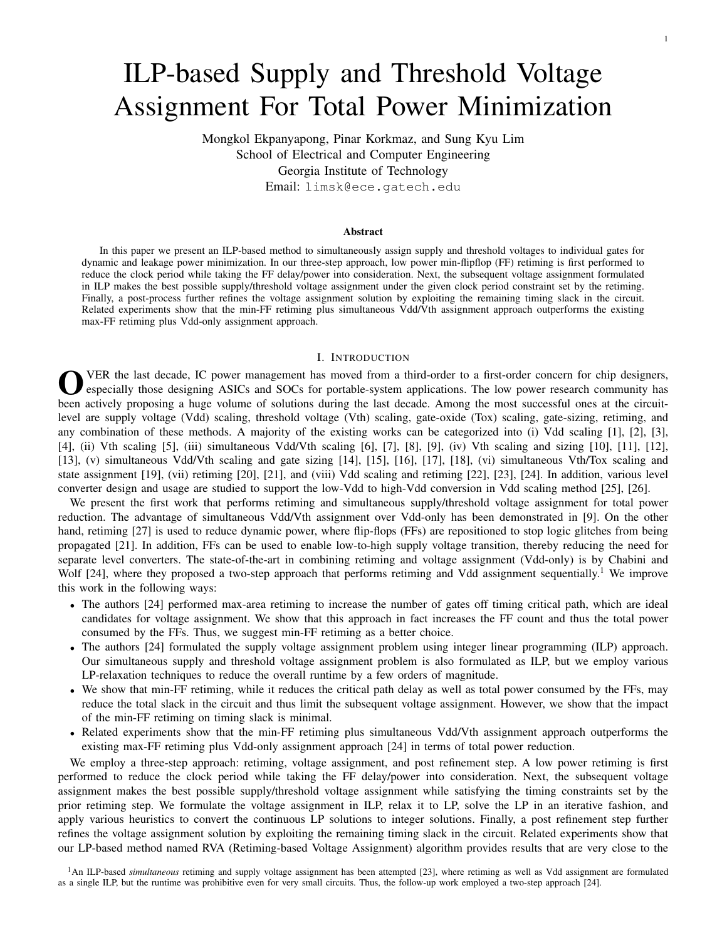# ILP-based Supply and Threshold Voltage Assignment For Total Power Minimization

Mongkol Ekpanyapong, Pinar Korkmaz, and Sung Kyu Lim School of Electrical and Computer Engineering Georgia Institute of Technology Email: limsk@ece.gatech.edu

#### Abstract

In this paper we present an ILP-based method to simultaneously assign supply and threshold voltages to individual gates for dynamic and leakage power minimization. In our three-step approach, low power min-flipflop (FF) retiming is first performed to reduce the clock period while taking the FF delay/power into consideration. Next, the subsequent voltage assignment formulated in ILP makes the best possible supply/threshold voltage assignment under the given clock period constraint set by the retiming. Finally, a post-process further refines the voltage assignment solution by exploiting the remaining timing slack in the circuit. Related experiments show that the min-FF retiming plus simultaneous Vdd/Vth assignment approach outperforms the existing max-FF retiming plus Vdd-only assignment approach.

## I. INTRODUCTION

O VER the last decade, IC power management has moved from a third-order to a first-order concern for chip designers, especially those designing ASICs and SOCs for portable-system applications. The low power research community has been actively proposing a huge volume of solutions during the last decade. Among the most successful ones at the circuitlevel are supply voltage (Vdd) scaling, threshold voltage (Vth) scaling, gate-oxide (Tox) scaling, gate-sizing, retiming, and any combination of these methods. A majority of the existing works can be categorized into (i) Vdd scaling [1], [2], [3], [4], (ii) Vth scaling [5], (iii) simultaneous Vdd/Vth scaling [6], [7], [8], [9], (iv) Vth scaling and sizing [10], [11], [12], [13], (v) simultaneous Vdd/Vth scaling and gate sizing [14], [15], [16], [17], [18], (vi) simultaneous Vth/Tox scaling and state assignment [19], (vii) retiming [20], [21], and (viii) Vdd scaling and retiming [22], [23], [24]. In addition, various level converter design and usage are studied to support the low-Vdd to high-Vdd conversion in Vdd scaling method [25], [26].

We present the first work that performs retiming and simultaneous supply/threshold voltage assignment for total power reduction. The advantage of simultaneous Vdd/Vth assignment over Vdd-only has been demonstrated in [9]. On the other hand, retiming [27] is used to reduce dynamic power, where flip-flops (FFs) are repositioned to stop logic glitches from being propagated [21]. In addition, FFs can be used to enable low-to-high supply voltage transition, thereby reducing the need for separate level converters. The state-of-the-art in combining retiming and voltage assignment (Vdd-only) is by Chabini and Wolf [24], where they proposed a two-step approach that performs retiming and Vdd assignment sequentially.<sup>1</sup> We improve this work in the following ways:

- The authors [24] performed max-area retiming to increase the number of gates off timing critical path, which are ideal candidates for voltage assignment. We show that this approach in fact increases the FF count and thus the total power consumed by the FFs. Thus, we suggest min-FF retiming as a better choice.
- The authors [24] formulated the supply voltage assignment problem using integer linear programming (ILP) approach. Our simultaneous supply and threshold voltage assignment problem is also formulated as ILP, but we employ various LP-relaxation techniques to reduce the overall runtime by a few orders of magnitude.
- We show that min-FF retiming, while it reduces the critical path delay as well as total power consumed by the FFs, may reduce the total slack in the circuit and thus limit the subsequent voltage assignment. However, we show that the impact of the min-FF retiming on timing slack is minimal.
- Related experiments show that the min-FF retiming plus simultaneous Vdd/Vth assignment approach outperforms the existing max-FF retiming plus Vdd-only assignment approach [24] in terms of total power reduction.

We employ a three-step approach: retiming, voltage assignment, and post refinement step. A low power retiming is first performed to reduce the clock period while taking the FF delay/power into consideration. Next, the subsequent voltage assignment makes the best possible supply/threshold voltage assignment while satisfying the timing constraints set by the prior retiming step. We formulate the voltage assignment in ILP, relax it to LP, solve the LP in an iterative fashion, and apply various heuristics to convert the continuous LP solutions to integer solutions. Finally, a post refinement step further refines the voltage assignment solution by exploiting the remaining timing slack in the circuit. Related experiments show that our LP-based method named RVA (Retiming-based Voltage Assignment) algorithm provides results that are very close to the

1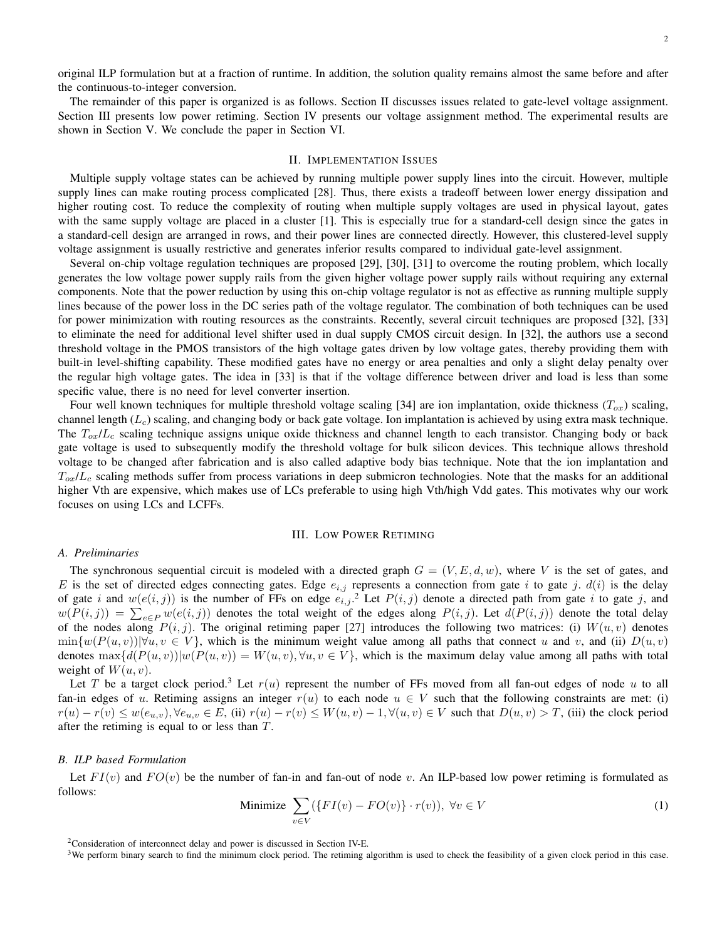original ILP formulation but at a fraction of runtime. In addition, the solution quality remains almost the same before and after the continuous-to-integer conversion.

The remainder of this paper is organized is as follows. Section II discusses issues related to gate-level voltage assignment. Section III presents low power retiming. Section IV presents our voltage assignment method. The experimental results are shown in Section V. We conclude the paper in Section VI.

## II. IMPLEMENTATION ISSUES

Multiple supply voltage states can be achieved by running multiple power supply lines into the circuit. However, multiple supply lines can make routing process complicated [28]. Thus, there exists a tradeoff between lower energy dissipation and higher routing cost. To reduce the complexity of routing when multiple supply voltages are used in physical layout, gates with the same supply voltage are placed in a cluster [1]. This is especially true for a standard-cell design since the gates in a standard-cell design are arranged in rows, and their power lines are connected directly. However, this clustered-level supply voltage assignment is usually restrictive and generates inferior results compared to individual gate-level assignment.

Several on-chip voltage regulation techniques are proposed [29], [30], [31] to overcome the routing problem, which locally generates the low voltage power supply rails from the given higher voltage power supply rails without requiring any external components. Note that the power reduction by using this on-chip voltage regulator is not as effective as running multiple supply lines because of the power loss in the DC series path of the voltage regulator. The combination of both techniques can be used for power minimization with routing resources as the constraints. Recently, several circuit techniques are proposed [32], [33] to eliminate the need for additional level shifter used in dual supply CMOS circuit design. In [32], the authors use a second threshold voltage in the PMOS transistors of the high voltage gates driven by low voltage gates, thereby providing them with built-in level-shifting capability. These modified gates have no energy or area penalties and only a slight delay penalty over the regular high voltage gates. The idea in [33] is that if the voltage difference between driver and load is less than some specific value, there is no need for level converter insertion.

Four well known techniques for multiple threshold voltage scaling [34] are ion implantation, oxide thickness  $(T_{ox})$  scaling, channel length  $(L<sub>c</sub>)$  scaling, and changing body or back gate voltage. Ion implantation is achieved by using extra mask technique. The  $T_{ox}/L_c$  scaling technique assigns unique oxide thickness and channel length to each transistor. Changing body or back gate voltage is used to subsequently modify the threshold voltage for bulk silicon devices. This technique allows threshold voltage to be changed after fabrication and is also called adaptive body bias technique. Note that the ion implantation and  $T_{ox}/L_c$  scaling methods suffer from process variations in deep submicron technologies. Note that the masks for an additional higher Vth are expensive, which makes use of LCs preferable to using high Vth/high Vdd gates. This motivates why our work focuses on using LCs and LCFFs.

#### III. LOW POWER RETIMING

#### *A. Preliminaries*

The synchronous sequential circuit is modeled with a directed graph  $G = (V, E, d, w)$ , where V is the set of gates, and E is the set of directed edges connecting gates. Edge  $e_{i,j}$  represents a connection from gate i to gate j.  $d(i)$  is the delay of gate i and  $w(e(i, j))$  is the number of FFs on edge  $e_{i,j}$ .<sup>2</sup> Let  $P(i, j)$  denote a directed path from gate i to gate j, and of gate *i* and  $w(e(i, j))$  is the number of FFs on edge  $e_{i,j}$ . Let  $P(i, j)$  denote a directed path from gate *i* to gate *j*, and  $w(P(i,j)) = \sum_{e \in P} w(e(i,j))$  denotes the total weight of the edges along  $P(i, j)$ . Let  $d(P(i,j))$  denot of the nodes along  $P(i, j)$ . The original retiming paper [27] introduces the following two matrices: (i)  $W(u, v)$  denotes  $\min\{w(P(u, v))|\forall u, v \in V\}$ , which is the minimum weight value among all paths that connect u and v, and (ii)  $D(u, v)$ denotes  $\max\{d(P(u, v))|w(P(u, v)) = W(u, v), \forall u, v \in V\}$ , which is the maximum delay value among all paths with total weight of  $W(u, v)$ .

Let T be a target clock period.<sup>3</sup> Let  $r(u)$  represent the number of FFs moved from all fan-out edges of node u to all fan-in edges of u. Retiming assigns an integer  $r(u)$  to each node  $u \in V$  such that the following constraints are met: (i)  $r(u) - r(v) \leq w(e_{u,v}), \forall e_{u,v} \in E$ , (ii)  $r(u) - r(v) \leq W(u, v) - 1, \forall (u, v) \in V$  such that  $D(u, v) > T$ , (iii) the clock period after the retiming is equal to or less than T.

#### *B. ILP based Formulation*

Let  $FI(v)$  and  $FO(v)$  be the number of fan-in and fan-out of node v. An ILP-based low power retiming is formulated as follows:

Minimize 
$$
\sum_{v \in V} (\{FI(v) - FO(v)\} \cdot r(v)), \ \forall v \in V
$$
 (1)

 $2$ Consideration of interconnect delay and power is discussed in Section IV-E.

 $3$ We perform binary search to find the minimum clock period. The retiming algorithm is used to check the feasibility of a given clock period in this case.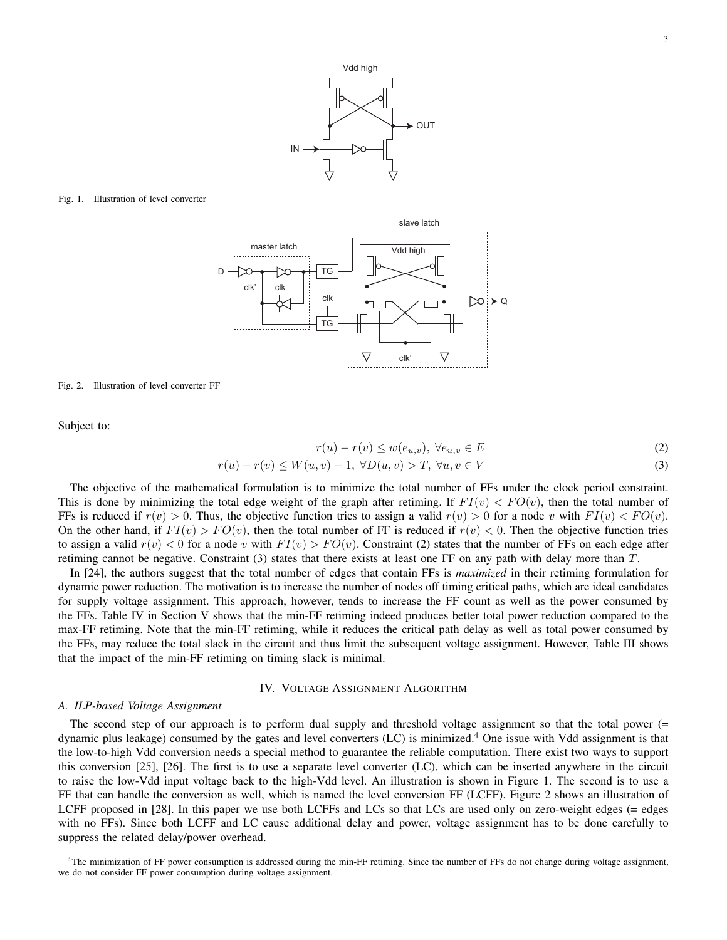

Fig. 1. Illustration of level converter



Fig. 2. Illustration of level converter FF

Subject to:

$$
r(u) - r(v) \le w(e_{u,v}), \ \forall e_{u,v} \in E
$$
\n
$$
(2)
$$

$$
r(u) - r(v) \le W(u, v) - 1, \ \forall D(u, v) > T, \ \forall u, v \in V
$$
\n
$$
(3)
$$

The objective of the mathematical formulation is to minimize the total number of FFs under the clock period constraint. This is done by minimizing the total edge weight of the graph after retiming. If  $FI(v) < FO(v)$ , then the total number of FFs is reduced if  $r(v) > 0$ . Thus, the objective function tries to assign a valid  $r(v) > 0$  for a node v with  $FI(v) < FO(v)$ . On the other hand, if  $FI(v) > FO(v)$ , then the total number of FF is reduced if  $r(v) < 0$ . Then the objective function tries to assign a valid  $r(v) < 0$  for a node v with  $FI(v) > FO(v)$ . Constraint (2) states that the number of FFs on each edge after retiming cannot be negative. Constraint (3) states that there exists at least one FF on any path with delay more than T.

In [24], the authors suggest that the total number of edges that contain FFs is *maximized* in their retiming formulation for dynamic power reduction. The motivation is to increase the number of nodes off timing critical paths, which are ideal candidates for supply voltage assignment. This approach, however, tends to increase the FF count as well as the power consumed by the FFs. Table IV in Section V shows that the min-FF retiming indeed produces better total power reduction compared to the max-FF retiming. Note that the min-FF retiming, while it reduces the critical path delay as well as total power consumed by the FFs, may reduce the total slack in the circuit and thus limit the subsequent voltage assignment. However, Table III shows that the impact of the min-FF retiming on timing slack is minimal.

## IV. VOLTAGE ASSIGNMENT ALGORITHM

## *A. ILP-based Voltage Assignment*

The second step of our approach is to perform dual supply and threshold voltage assignment so that the total power (= dynamic plus leakage) consumed by the gates and level converters (LC) is minimized.<sup>4</sup> One issue with Vdd assignment is that the low-to-high Vdd conversion needs a special method to guarantee the reliable computation. There exist two ways to support this conversion [25], [26]. The first is to use a separate level converter (LC), which can be inserted anywhere in the circuit to raise the low-Vdd input voltage back to the high-Vdd level. An illustration is shown in Figure 1. The second is to use a FF that can handle the conversion as well, which is named the level conversion FF (LCFF). Figure 2 shows an illustration of LCFF proposed in [28]. In this paper we use both LCFFs and LCs so that LCs are used only on zero-weight edges (= edges with no FFs). Since both LCFF and LC cause additional delay and power, voltage assignment has to be done carefully to suppress the related delay/power overhead.

<sup>4</sup>The minimization of FF power consumption is addressed during the min-FF retiming. Since the number of FFs do not change during voltage assignment, we do not consider FF power consumption during voltage assignment.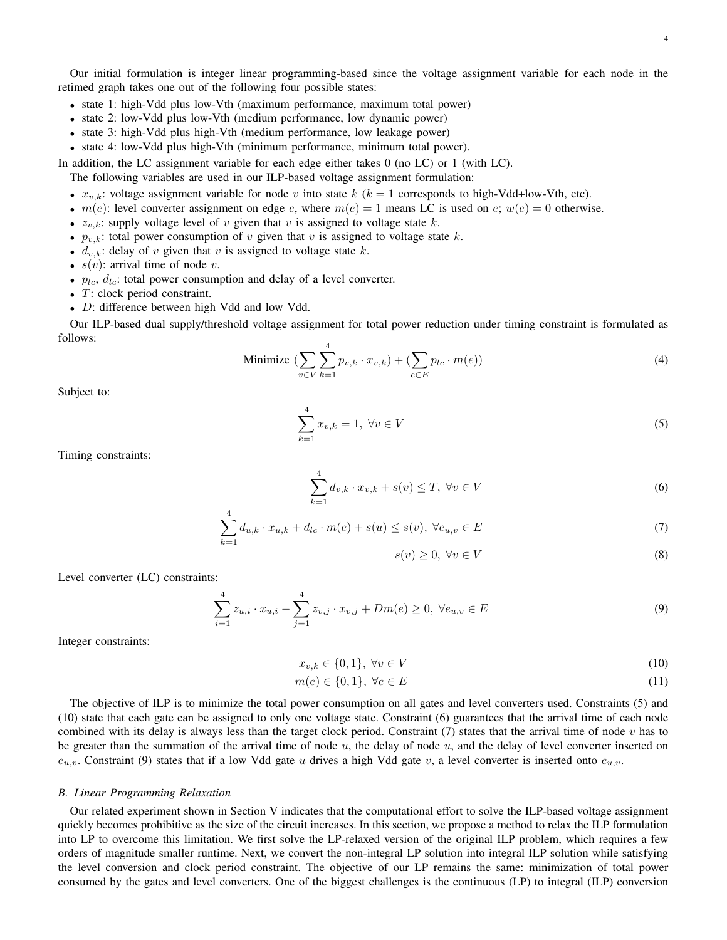Our initial formulation is integer linear programming-based since the voltage assignment variable for each node in the retimed graph takes one out of the following four possible states:

- state 1: high-Vdd plus low-Vth (maximum performance, maximum total power)
- state 2: low-Vdd plus low-Vth (medium performance, low dynamic power)
- state 3: high-Vdd plus high-Vth (medium performance, low leakage power)
- state 4: low-Vdd plus high-Vth (minimum performance, minimum total power).

In addition, the LC assignment variable for each edge either takes 0 (no LC) or 1 (with LC).

The following variables are used in our ILP-based voltage assignment formulation:

- $x_{v,k}$ : voltage assignment variable for node v into state k ( $k = 1$  corresponds to high-Vdd+low-Vth, etc).
- $m(e)$ : level converter assignment on edge e, where  $m(e) = 1$  means LC is used on e;  $w(e) = 0$  otherwise.
- $z_{v,k}$ : supply voltage level of v given that v is assigned to voltage state k.
- $p_{v,k}$ : total power consumption of v given that v is assigned to voltage state k.
- $d_{v,k}$ : delay of v given that v is assigned to voltage state k.
- $s(v)$ : arrival time of node v.
- $p_{lc}$ ,  $d_{lc}$ : total power consumption and delay of a level converter.
- T: clock period constraint.
- *D*: difference between high Vdd and low Vdd.

Our ILP-based dual supply/threshold voltage assignment for total power reduction under timing constraint is formulated as follows:

Minimize 
$$
\left(\sum_{v \in V} \sum_{k=1}^{4} p_{v,k} \cdot x_{v,k}\right) + \left(\sum_{e \in E} p_{lc} \cdot m(e)\right)
$$
 (4)

Subject to:

$$
\sum_{k=1}^{4} x_{v,k} = 1, \ \forall v \in V
$$
 (5)

Timing constraints:

$$
\sum_{k=1}^{4} d_{v,k} \cdot x_{v,k} + s(v) \le T, \ \forall v \in V
$$
\n
$$
(6)
$$

$$
\sum_{k=1}^{4} d_{u,k} \cdot x_{u,k} + d_{lc} \cdot m(e) + s(u) \le s(v), \ \forall e_{u,v} \in E
$$
\n(7)

$$
s(v) \ge 0, \,\forall v \in V \tag{8}
$$

Level converter (LC) constraints:

$$
\sum_{i=1}^{4} z_{u,i} \cdot x_{u,i} - \sum_{j=1}^{4} z_{v,j} \cdot x_{v,j} + Dm(e) \ge 0, \ \forall e_{u,v} \in E
$$
 (9)

Integer constraints:

$$
x_{v,k} \in \{0,1\}, \ \forall v \in V \tag{10}
$$

$$
m(e) \in \{0, 1\}, \ \forall e \in E \tag{11}
$$

The objective of ILP is to minimize the total power consumption on all gates and level converters used. Constraints (5) and (10) state that each gate can be assigned to only one voltage state. Constraint (6) guarantees that the arrival time of each node combined with its delay is always less than the target clock period. Constraint  $(7)$  states that the arrival time of node v has to be greater than the summation of the arrival time of node  $u$ , the delay of node  $u$ , and the delay of level converter inserted on  $e_{u,v}$ . Constraint (9) states that if a low Vdd gate u drives a high Vdd gate v, a level converter is inserted onto  $e_{u,v}$ .

### *B. Linear Programming Relaxation*

Our related experiment shown in Section V indicates that the computational effort to solve the ILP-based voltage assignment quickly becomes prohibitive as the size of the circuit increases. In this section, we propose a method to relax the ILP formulation into LP to overcome this limitation. We first solve the LP-relaxed version of the original ILP problem, which requires a few orders of magnitude smaller runtime. Next, we convert the non-integral LP solution into integral ILP solution while satisfying the level conversion and clock period constraint. The objective of our LP remains the same: minimization of total power consumed by the gates and level converters. One of the biggest challenges is the continuous (LP) to integral (ILP) conversion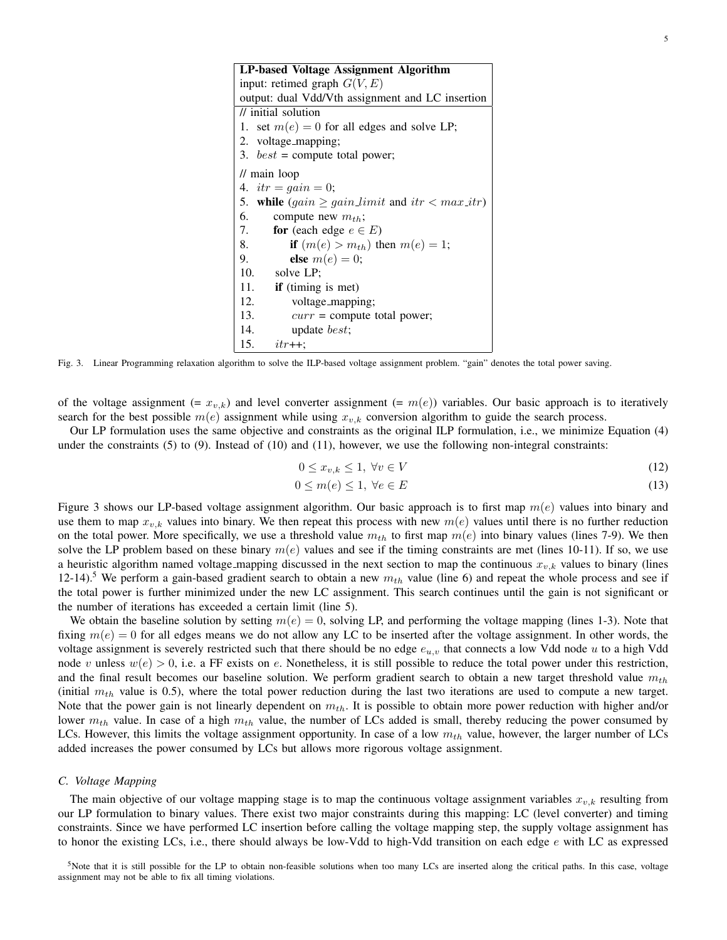| LP-based Voltage Assignment Algorithm                    |  |  |  |  |  |  |  |  |
|----------------------------------------------------------|--|--|--|--|--|--|--|--|
| input: retimed graph $G(V, E)$                           |  |  |  |  |  |  |  |  |
| output: dual Vdd/Vth assignment and LC insertion         |  |  |  |  |  |  |  |  |
| $\frac{1}{\sqrt{2}}$ initial solution                    |  |  |  |  |  |  |  |  |
| 1. set $m(e) = 0$ for all edges and solve LP;            |  |  |  |  |  |  |  |  |
| 2. voltage_mapping;                                      |  |  |  |  |  |  |  |  |
| 3. $best =$ compute total power;                         |  |  |  |  |  |  |  |  |
| $\frac{1}{\pi}$ main loop                                |  |  |  |  |  |  |  |  |
| 4. $itr = gain = 0;$                                     |  |  |  |  |  |  |  |  |
| 5. while $(gain \geq gain\_limit$ and $itr < max\_itr$ ) |  |  |  |  |  |  |  |  |
| 6.<br>compute new $m_{th}$ ;                             |  |  |  |  |  |  |  |  |
| 7.<br>for (each edge $e \in E$ )                         |  |  |  |  |  |  |  |  |
| if $(m(e) > m_{th})$ then $m(e) = 1$ ;<br>8.             |  |  |  |  |  |  |  |  |
| 9.<br>else $m(e) = 0$ ;                                  |  |  |  |  |  |  |  |  |
| 10. solve LP;                                            |  |  |  |  |  |  |  |  |
| 11.<br>if (timing is met)                                |  |  |  |  |  |  |  |  |
| 12.<br>voltage_mapping;                                  |  |  |  |  |  |  |  |  |
| 13.<br>$curr = compute total power;$                     |  |  |  |  |  |  |  |  |
| 14.<br>update <i>best</i> ;                              |  |  |  |  |  |  |  |  |
| 15.<br>$itr++$                                           |  |  |  |  |  |  |  |  |

Fig. 3. Linear Programming relaxation algorithm to solve the ILP-based voltage assignment problem. "gain" denotes the total power saving.

of the voltage assignment (=  $x_{v,k}$ ) and level converter assignment (=  $m(e)$ ) variables. Our basic approach is to iteratively search for the best possible  $m(e)$  assignment while using  $x_{v,k}$  conversion algorithm to guide the search process.

Our LP formulation uses the same objective and constraints as the original ILP formulation, i.e., we minimize Equation (4) under the constraints  $(5)$  to  $(9)$ . Instead of  $(10)$  and  $(11)$ , however, we use the following non-integral constraints:

$$
0 \le x_{v,k} \le 1, \ \forall v \in V \tag{12}
$$

$$
0 \le m(e) \le 1, \ \forall e \in E \tag{13}
$$

Figure 3 shows our LP-based voltage assignment algorithm. Our basic approach is to first map  $m(e)$  values into binary and use them to map  $x_{v,k}$  values into binary. We then repeat this process with new  $m(e)$  values until there is no further reduction on the total power. More specifically, we use a threshold value  $m_{th}$  to first map  $m(e)$  into binary values (lines 7-9). We then solve the LP problem based on these binary  $m(e)$  values and see if the timing constraints are met (lines 10-11). If so, we use a heuristic algorithm named voltage mapping discussed in the next section to map the continuous  $x_{v,k}$  values to binary (lines 12-14).<sup>5</sup> We perform a gain-based gradient search to obtain a new  $m_{th}$  value (line 6) and repeat the whole process and see if the total power is further minimized under the new LC assignment. This search continues until the gain is not significant or the number of iterations has exceeded a certain limit (line 5).

We obtain the baseline solution by setting  $m(e) = 0$ , solving LP, and performing the voltage mapping (lines 1-3). Note that fixing  $m(e) = 0$  for all edges means we do not allow any LC to be inserted after the voltage assignment. In other words, the voltage assignment is severely restricted such that there should be no edge  $e_{u,v}$  that connects a low Vdd node u to a high Vdd node v unless  $w(e) > 0$ , i.e. a FF exists on e. Nonetheless, it is still possible to reduce the total power under this restriction, and the final result becomes our baseline solution. We perform gradient search to obtain a new target threshold value  $m_{th}$ (initial  $m_{th}$  value is 0.5), where the total power reduction during the last two iterations are used to compute a new target. Note that the power gain is not linearly dependent on  $m_{th}$ . It is possible to obtain more power reduction with higher and/or lower  $m_{th}$  value. In case of a high  $m_{th}$  value, the number of LCs added is small, thereby reducing the power consumed by LCs. However, this limits the voltage assignment opportunity. In case of a low  $m_{th}$  value, however, the larger number of LCs added increases the power consumed by LCs but allows more rigorous voltage assignment.

## *C. Voltage Mapping*

The main objective of our voltage mapping stage is to map the continuous voltage assignment variables  $x_{v,k}$  resulting from our LP formulation to binary values. There exist two major constraints during this mapping: LC (level converter) and timing constraints. Since we have performed LC insertion before calling the voltage mapping step, the supply voltage assignment has to honor the existing LCs, i.e., there should always be low-Vdd to high-Vdd transition on each edge e with LC as expressed

<sup>5</sup>Note that it is still possible for the LP to obtain non-feasible solutions when too many LCs are inserted along the critical paths. In this case, voltage assignment may not be able to fix all timing violations.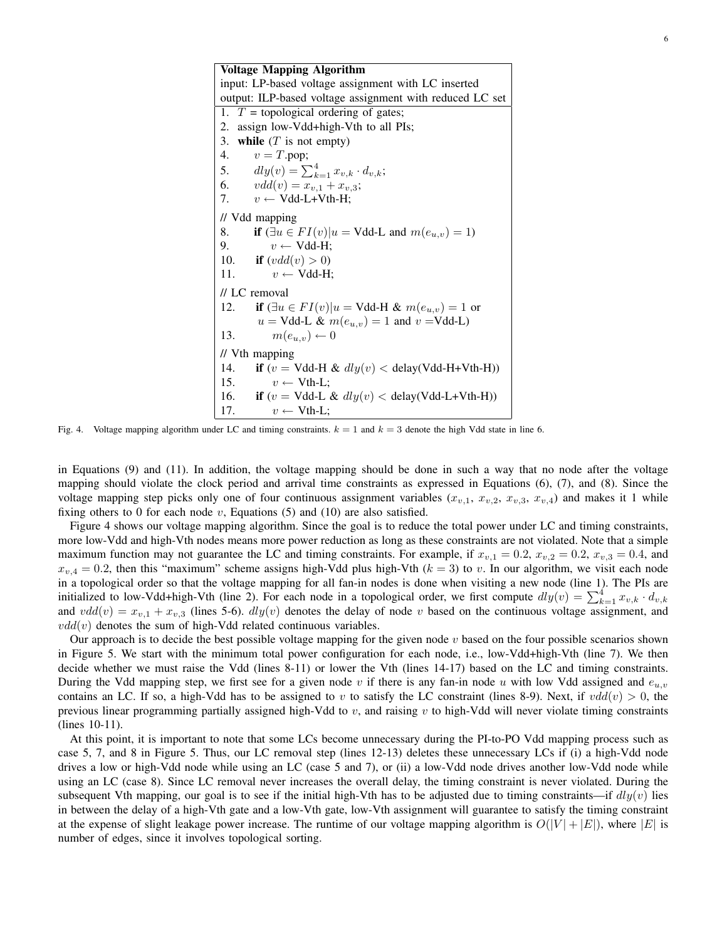Voltage Mapping Algorithm input: LP-based voltage assignment with LC inserted output: ILP-based voltage assignment with reduced LC set 1.  $T =$  topological ordering of gates; 2. assign low-Vdd+high-Vth to all PIs; 3. while  $(T \text{ is not empty})$ 4.  $v = T.pop;$ 5.  $dly(v) = \sum_{k=1}^{4} x_{v,k} \cdot d_{v,k};$ 6.  $vdd(v) = x_{v,1} + x_{v,3};$ 7.  $v \leftarrow \text{Vdd-L+Vth-H};$ // Vdd mapping 8. if  $(\exists u \in FI(v)|u = Vdd-L \text{ and } m(e_{u,v}) = 1)$ 9.  $v \leftarrow \text{Vdd-H};$ 10. **if**  $(vdd(v) > 0)$ 11.  $v \leftarrow \text{Vdd-H};$ // LC removal 12. if  $(\exists u \in FI(v)|u = Vdd-H \& m(e_{u,v}) = 1$  or  $u = Vdd-L \& m(e_{u,v}) = 1$  and  $v = Vdd-L$ 13.  $m(e_{u,v}) \leftarrow 0$ // Vth mapping 14. if  $(v = Vdd-H & dly(v) < deldy(Vdd-H+Vth-H))$ 15.  $v \leftarrow \text{Vth-L};$ 16. if  $(v = Vdd-L \& dly(v) < deldy(Vdd-L+Vth-H))$ 17.  $v \leftarrow \text{Vth-L};$ 

Fig. 4. Voltage mapping algorithm under LC and timing constraints.  $k = 1$  and  $k = 3$  denote the high Vdd state in line 6.

in Equations (9) and (11). In addition, the voltage mapping should be done in such a way that no node after the voltage mapping should violate the clock period and arrival time constraints as expressed in Equations (6), (7), and (8). Since the voltage mapping step picks only one of four continuous assignment variables  $(x_{v,1}, x_{v,2}, x_{v,3}, x_{v,4})$  and makes it 1 while fixing others to 0 for each node  $v$ , Equations (5) and (10) are also satisfied.

Figure 4 shows our voltage mapping algorithm. Since the goal is to reduce the total power under LC and timing constraints, more low-Vdd and high-Vth nodes means more power reduction as long as these constraints are not violated. Note that a simple maximum function may not guarantee the LC and timing constraints. For example, if  $x_{v,1} = 0.2$ ,  $x_{v,2} = 0.2$ ,  $x_{v,3} = 0.4$ , and  $x_{v,4} = 0.2$ , then this "maximum" scheme assigns high-Vdd plus high-Vth  $(k = 3)$  to v. In our algorithm, we visit each node in a topological order so that the voltage mapping for all fan-in nodes is done when visiting a new node (line 1). The PIs are initialized to low-Vdd+high-Vth (line 2). For each node in a topological order, we first compute  $dly(v) = \sum_{k=1}^{4} x_{v,k} \cdot d_{v,k}$ and  $vdd(v) = x_{v,1} + x_{v,3}$  (lines 5-6).  $dly(v)$  denotes the delay of node v based on the continuous voltage assignment, and  $vdd(v)$  denotes the sum of high-Vdd related continuous variables.

Our approach is to decide the best possible voltage mapping for the given node  $v$  based on the four possible scenarios shown in Figure 5. We start with the minimum total power configuration for each node, i.e., low-Vdd+high-Vth (line 7). We then decide whether we must raise the Vdd (lines 8-11) or lower the Vth (lines 14-17) based on the LC and timing constraints. During the Vdd mapping step, we first see for a given node v if there is any fan-in node u with low Vdd assigned and  $e_{u,v}$ contains an LC. If so, a high-Vdd has to be assigned to v to satisfy the LC constraint (lines 8-9). Next, if  $vdd(v) > 0$ , the previous linear programming partially assigned high-Vdd to  $v$ , and raising  $v$  to high-Vdd will never violate timing constraints (lines 10-11).

At this point, it is important to note that some LCs become unnecessary during the PI-to-PO Vdd mapping process such as case 5, 7, and 8 in Figure 5. Thus, our LC removal step (lines 12-13) deletes these unnecessary LCs if (i) a high-Vdd node drives a low or high-Vdd node while using an LC (case 5 and 7), or (ii) a low-Vdd node drives another low-Vdd node while using an LC (case 8). Since LC removal never increases the overall delay, the timing constraint is never violated. During the subsequent Vth mapping, our goal is to see if the initial high-Vth has to be adjusted due to timing constraints—if  $dly(v)$  lies in between the delay of a high-Vth gate and a low-Vth gate, low-Vth assignment will guarantee to satisfy the timing constraint at the expense of slight leakage power increase. The runtime of our voltage mapping algorithm is  $O(|V| + |E|)$ , where  $|E|$  is number of edges, since it involves topological sorting.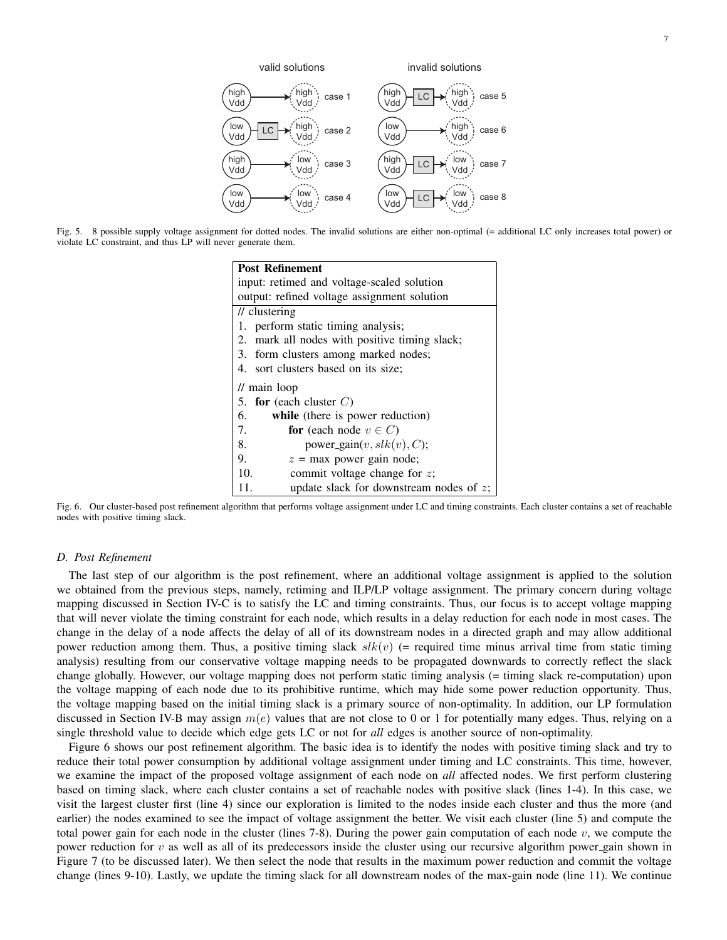7



Fig. 5. 8 possible supply voltage assignment for dotted nodes. The invalid solutions are either non-optimal (= additional LC only increases total power) or violate LC constraint, and thus LP will never generate them.

| <b>Post Refinement</b>                            |  |  |  |  |  |  |  |  |
|---------------------------------------------------|--|--|--|--|--|--|--|--|
| input: retimed and voltage-scaled solution        |  |  |  |  |  |  |  |  |
| output: refined voltage assignment solution       |  |  |  |  |  |  |  |  |
| $\prime\prime$ clustering                         |  |  |  |  |  |  |  |  |
| 1. perform static timing analysis;                |  |  |  |  |  |  |  |  |
| 2. mark all nodes with positive timing slack;     |  |  |  |  |  |  |  |  |
| 3. form clusters among marked nodes;              |  |  |  |  |  |  |  |  |
| 4. sort clusters based on its size;               |  |  |  |  |  |  |  |  |
| $\frac{1}{\pi}$ main loop                         |  |  |  |  |  |  |  |  |
| 5. for (each cluster $C$ )                        |  |  |  |  |  |  |  |  |
| 6.<br>while (there is power reduction)            |  |  |  |  |  |  |  |  |
| 7.<br>for (each node $v \in C$ )                  |  |  |  |  |  |  |  |  |
| power_gain $(v, slk(v), C)$ ;<br>8.               |  |  |  |  |  |  |  |  |
| 9.<br>$z = \text{max}$ power gain node;           |  |  |  |  |  |  |  |  |
| 10.<br>commit voltage change for $z$ ;            |  |  |  |  |  |  |  |  |
| update slack for downstream nodes of $z$ ;<br>11. |  |  |  |  |  |  |  |  |

Fig. 6. Our cluster-based post refinement algorithm that performs voltage assignment under LC and timing constraints. Each cluster contains a set of reachable nodes with positive timing slack.

#### *D. Post Refinement*

The last step of our algorithm is the post refinement, where an additional voltage assignment is applied to the solution we obtained from the previous steps, namely, retiming and ILP/LP voltage assignment. The primary concern during voltage mapping discussed in Section IV-C is to satisfy the LC and timing constraints. Thus, our focus is to accept voltage mapping that will never violate the timing constraint for each node, which results in a delay reduction for each node in most cases. The change in the delay of a node affects the delay of all of its downstream nodes in a directed graph and may allow additional power reduction among them. Thus, a positive timing slack  $slk(v)$  (= required time minus arrival time from static timing analysis) resulting from our conservative voltage mapping needs to be propagated downwards to correctly reflect the slack change globally. However, our voltage mapping does not perform static timing analysis (= timing slack re-computation) upon the voltage mapping of each node due to its prohibitive runtime, which may hide some power reduction opportunity. Thus, the voltage mapping based on the initial timing slack is a primary source of non-optimality. In addition, our LP formulation discussed in Section IV-B may assign  $m(e)$  values that are not close to 0 or 1 for potentially many edges. Thus, relying on a single threshold value to decide which edge gets LC or not for *all* edges is another source of non-optimality.

Figure 6 shows our post refinement algorithm. The basic idea is to identify the nodes with positive timing slack and try to reduce their total power consumption by additional voltage assignment under timing and LC constraints. This time, however, we examine the impact of the proposed voltage assignment of each node on *all* affected nodes. We first perform clustering based on timing slack, where each cluster contains a set of reachable nodes with positive slack (lines 1-4). In this case, we visit the largest cluster first (line 4) since our exploration is limited to the nodes inside each cluster and thus the more (and earlier) the nodes examined to see the impact of voltage assignment the better. We visit each cluster (line 5) and compute the total power gain for each node in the cluster (lines 7-8). During the power gain computation of each node  $v$ , we compute the power reduction for  $v$  as well as all of its predecessors inside the cluster using our recursive algorithm power gain shown in Figure 7 (to be discussed later). We then select the node that results in the maximum power reduction and commit the voltage change (lines 9-10). Lastly, we update the timing slack for all downstream nodes of the max-gain node (line 11). We continue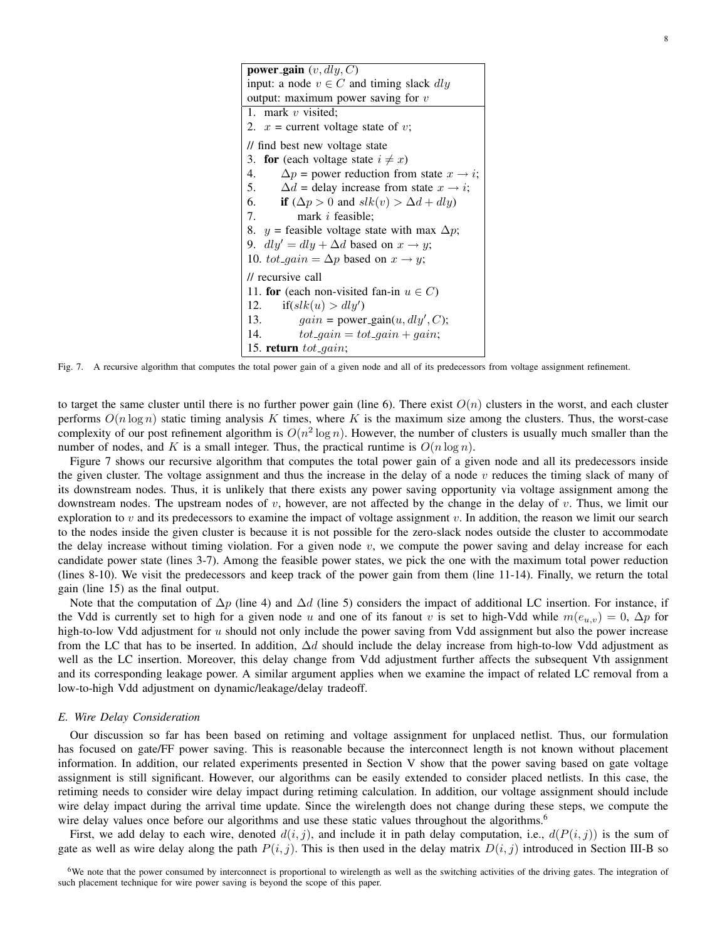power gain  $(v, dly, C)$ input: a node  $v \in C$  and timing slack dly output: maximum power saving for  $v$ 1. mark v visited; 2.  $x =$  current voltage state of v; // find best new voltage state 3. for (each voltage state  $i \neq x$ ) 4.  $\Delta p =$  power reduction from state  $x \rightarrow i$ ; 5.  $\Delta d$  = delay increase from state  $x \rightarrow i$ ; 6. if  $(\Delta p > 0$  and  $slk(v) > \Delta d + dly$ 7. mark i feasible; 8. y = feasible voltage state with max  $\Delta p$ ; 9.  $dly' = dly + \Delta d$  based on  $x \to y$ ; 10. tot\_gain =  $\Delta p$  based on  $x \rightarrow y$ ; // recursive call 11. for (each non-visited fan-in  $u \in C$ ) 12. if( $slk(u) > dly'$ ) 13.  $gain = power\_gain(u, dly', C);$ 14.  $tot\_gain = tot\_gain + gain;$ 15. return  $tot\_gain;$ 

Fig. 7. A recursive algorithm that computes the total power gain of a given node and all of its predecessors from voltage assignment refinement.

to target the same cluster until there is no further power gain (line 6). There exist  $O(n)$  clusters in the worst, and each cluster performs  $O(n \log n)$  static timing analysis K times, where K is the maximum size among the clusters. Thus, the worst-case complexity of our post refinement algorithm is  $O(n^2 \log n)$ . However, the number of clusters is usually much smaller than the number of nodes, and K is a small integer. Thus, the practical runtime is  $O(n \log n)$ .

Figure 7 shows our recursive algorithm that computes the total power gain of a given node and all its predecessors inside the given cluster. The voltage assignment and thus the increase in the delay of a node  $v$  reduces the timing slack of many of its downstream nodes. Thus, it is unlikely that there exists any power saving opportunity via voltage assignment among the downstream nodes. The upstream nodes of  $v$ , however, are not affected by the change in the delay of  $v$ . Thus, we limit our exploration to v and its predecessors to examine the impact of voltage assignment v. In addition, the reason we limit our search to the nodes inside the given cluster is because it is not possible for the zero-slack nodes outside the cluster to accommodate the delay increase without timing violation. For a given node  $v$ , we compute the power saving and delay increase for each candidate power state (lines 3-7). Among the feasible power states, we pick the one with the maximum total power reduction (lines 8-10). We visit the predecessors and keep track of the power gain from them (line 11-14). Finally, we return the total gain (line 15) as the final output.

Note that the computation of  $\Delta p$  (line 4) and  $\Delta d$  (line 5) considers the impact of additional LC insertion. For instance, if the Vdd is currently set to high for a given node u and one of its fanout v is set to high-Vdd while  $m(e_{u,v}) = 0$ ,  $\Delta p$  for high-to-low Vdd adjustment for  $u$  should not only include the power saving from Vdd assignment but also the power increase from the LC that has to be inserted. In addition,  $\Delta d$  should include the delay increase from high-to-low Vdd adjustment as well as the LC insertion. Moreover, this delay change from Vdd adjustment further affects the subsequent Vth assignment and its corresponding leakage power. A similar argument applies when we examine the impact of related LC removal from a low-to-high Vdd adjustment on dynamic/leakage/delay tradeoff.

## *E. Wire Delay Consideration*

Our discussion so far has been based on retiming and voltage assignment for unplaced netlist. Thus, our formulation has focused on gate/FF power saving. This is reasonable because the interconnect length is not known without placement information. In addition, our related experiments presented in Section V show that the power saving based on gate voltage assignment is still significant. However, our algorithms can be easily extended to consider placed netlists. In this case, the retiming needs to consider wire delay impact during retiming calculation. In addition, our voltage assignment should include wire delay impact during the arrival time update. Since the wirelength does not change during these steps, we compute the wire delay values once before our algorithms and use these static values throughout the algorithms.<sup>6</sup>

First, we add delay to each wire, denoted  $d(i, j)$ , and include it in path delay computation, i.e.,  $d(P(i, j))$  is the sum of gate as well as wire delay along the path  $P(i, j)$ . This is then used in the delay matrix  $D(i, j)$  introduced in Section III-B so

 $6W$ e note that the power consumed by interconnect is proportional to wirelength as well as the switching activities of the driving gates. The integration of such placement technique for wire power saving is beyond the scope of this paper.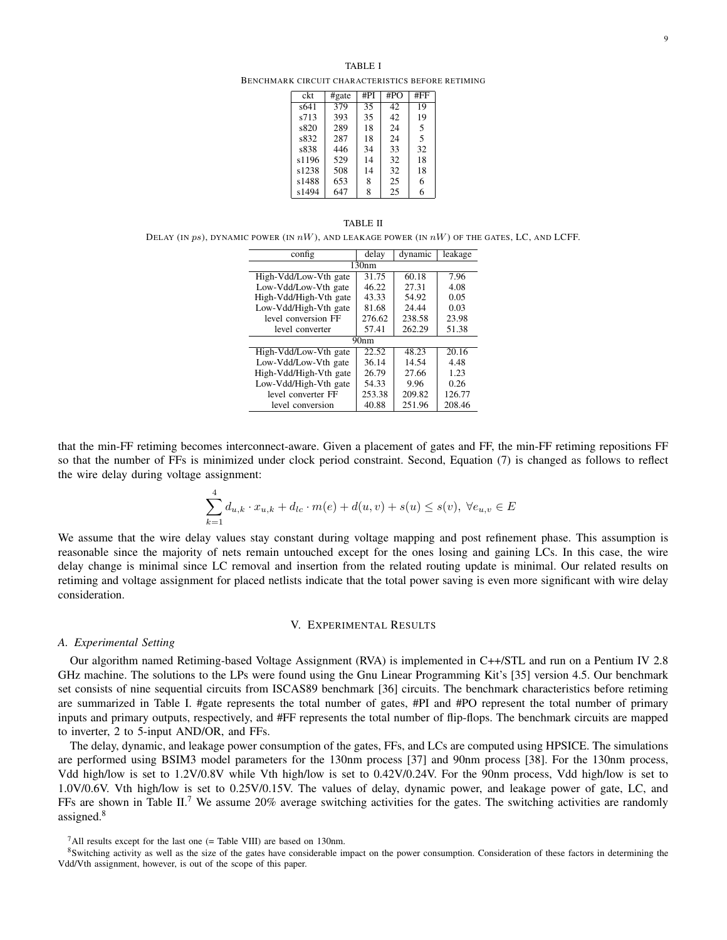BENCHMARK CIRCUIT CHARACTERISTICS BEFORE RETIMING

| ckt   | #gate | #PI | #PO | #FF |
|-------|-------|-----|-----|-----|
| s641  | 379   | 35  | 42  | 19  |
| s713  | 393   | 35  | 42  | 19  |
| s820  | 289   | 18  | 24  | 5   |
| s832  | 287   | 18  | 24  | 5   |
| s838  | 446   | 34  | 33  | 32  |
| s1196 | 529   | 14  | 32  | 18  |
| s1238 | 508   | 14  | 32  | 18  |
| s1488 | 653   | 8   | 25  | 6   |
| s1494 | 647   | 8   | 25  | 6   |

#### TABLE II

DELAY (IN ps), DYNAMIC POWER (IN  $nW$ ), AND LEAKAGE POWER (IN  $nW$ ) OF THE GATES, LC, AND LCFF.

| config                 | delay            | dynamic | leakage |  |  |  |  |  |
|------------------------|------------------|---------|---------|--|--|--|--|--|
| 130nm                  |                  |         |         |  |  |  |  |  |
| High-Vdd/Low-Vth gate  | 31.75            | 60.18   | 7.96    |  |  |  |  |  |
| Low-Vdd/Low-Vth gate   | 46.22            | 27.31   | 4.08    |  |  |  |  |  |
| High-Vdd/High-Vth gate | 43.33            | 54.92   | 0.05    |  |  |  |  |  |
| Low-Vdd/High-Vth gate  | 81.68            | 24.44   | 0.03    |  |  |  |  |  |
| level conversion FF    | 276.62           | 238.58  | 23.98   |  |  |  |  |  |
| level converter        | 57.41            | 262.29  | 51.38   |  |  |  |  |  |
|                        | 90 <sub>nm</sub> |         |         |  |  |  |  |  |
| High-Vdd/Low-Vth gate  | 22.52            | 48.23   | 20.16   |  |  |  |  |  |
| Low-Vdd/Low-Vth gate   | 36.14            | 14.54   | 4.48    |  |  |  |  |  |
| High-Vdd/High-Vth gate | 26.79            | 27.66   | 1.23    |  |  |  |  |  |
| Low-Vdd/High-Vth gate  | 54.33            | 9.96    | 0.26    |  |  |  |  |  |
| level converter FF     | 253.38           | 209.82  | 126.77  |  |  |  |  |  |
| level conversion       | 40.88            | 251.96  | 208.46  |  |  |  |  |  |

that the min-FF retiming becomes interconnect-aware. Given a placement of gates and FF, the min-FF retiming repositions FF so that the number of FFs is minimized under clock period constraint. Second, Equation (7) is changed as follows to reflect the wire delay during voltage assignment:

$$
\sum_{k=1}^{4} d_{u,k} \cdot x_{u,k} + d_{lc} \cdot m(e) + d(u,v) + s(u) \leq s(v), \ \forall e_{u,v} \in E
$$

We assume that the wire delay values stay constant during voltage mapping and post refinement phase. This assumption is reasonable since the majority of nets remain untouched except for the ones losing and gaining LCs. In this case, the wire delay change is minimal since LC removal and insertion from the related routing update is minimal. Our related results on retiming and voltage assignment for placed netlists indicate that the total power saving is even more significant with wire delay consideration.

## V. EXPERIMENTAL RESULTS

#### *A. Experimental Setting*

Our algorithm named Retiming-based Voltage Assignment (RVA) is implemented in C++/STL and run on a Pentium IV 2.8 GHz machine. The solutions to the LPs were found using the Gnu Linear Programming Kit's [35] version 4.5. Our benchmark set consists of nine sequential circuits from ISCAS89 benchmark [36] circuits. The benchmark characteristics before retiming are summarized in Table I. #gate represents the total number of gates, #PI and #PO represent the total number of primary inputs and primary outputs, respectively, and #FF represents the total number of flip-flops. The benchmark circuits are mapped to inverter, 2 to 5-input AND/OR, and FFs.

The delay, dynamic, and leakage power consumption of the gates, FFs, and LCs are computed using HPSICE. The simulations are performed using BSIM3 model parameters for the 130nm process [37] and 90nm process [38]. For the 130nm process, Vdd high/low is set to 1.2V/0.8V while Vth high/low is set to 0.42V/0.24V. For the 90nm process, Vdd high/low is set to 1.0V/0.6V. Vth high/low is set to 0.25V/0.15V. The values of delay, dynamic power, and leakage power of gate, LC, and FFs are shown in Table II.<sup>7</sup> We assume 20% average switching activities for the gates. The switching activities are randomly assigned.<sup>8</sup>

<sup>7</sup>All results except for the last one (= Table VIII) are based on 130nm.

<sup>8</sup>Switching activity as well as the size of the gates have considerable impact on the power consumption. Consideration of these factors in determining the Vdd/Vth assignment, however, is out of the scope of this paper.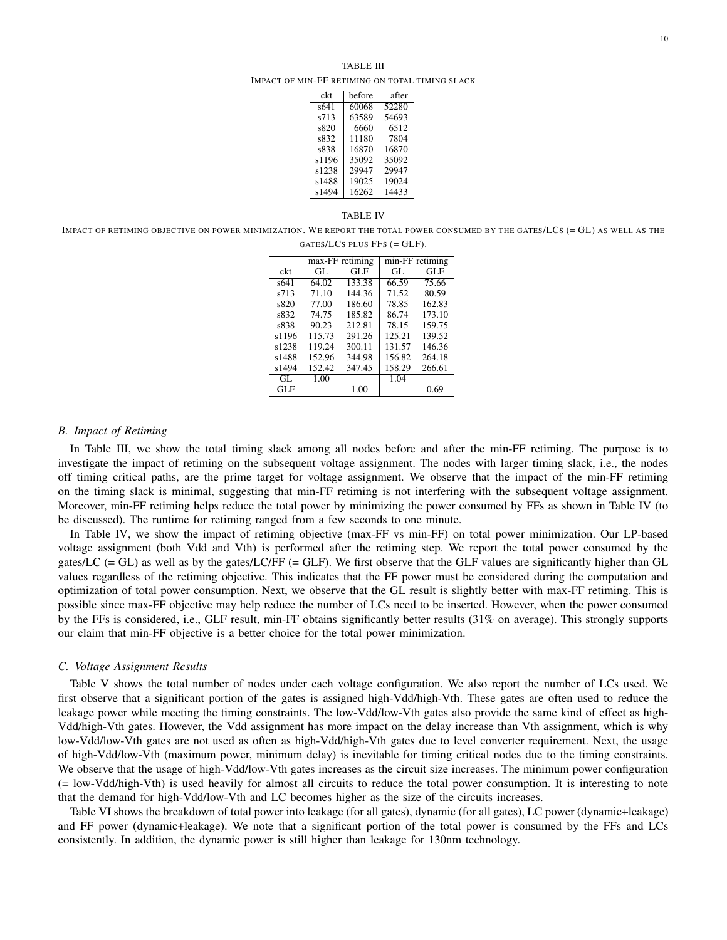IMPACT OF MIN-FF RETIMING ON TOTAL TIMING SLACK

| ckt   | before | after |
|-------|--------|-------|
| s641  | 60068  | 52280 |
| s713  | 63589  | 54693 |
| s820  | 6660   | 6512  |
| s832  | 11180  | 7804  |
| s838  | 16870  | 16870 |
| s1196 | 35092  | 35092 |
| s1238 | 29947  | 29947 |
| s1488 | 19025  | 19024 |
| s1494 | 16262  | 14433 |

#### TABLE IV

IMPACT OF RETIMING OBJECTIVE ON POWER MINIMIZATION. WE REPORT THE TOTAL POWER CONSUMED BY THE GATES/LCS (= GL) AS WELL AS THE GATES/LCS PLUS FFS (= GLF).

|       |        | max-FF retiming | min-FF retiming |        |  |
|-------|--------|-----------------|-----------------|--------|--|
| ckt   | GL.    | GL F            | GL.             | GL F   |  |
| s641  | 64.02  | 133.38          | 66.59           | 75.66  |  |
| s713  | 71.10  | 144.36          | 71.52           | 80.59  |  |
| s820  | 77.00  | 186.60          | 78.85           | 162.83 |  |
| s832  | 74.75  | 185.82          | 86.74           | 173.10 |  |
| s838  | 90.23  | 212.81          | 78.15           | 159.75 |  |
| s1196 | 115.73 | 291.26          | 125.21          | 139.52 |  |
| s1238 | 119.24 | 300.11          | 131.57          | 146.36 |  |
| s1488 | 152.96 | 344.98          | 156.82          | 264.18 |  |
| s1494 | 152.42 | 347.45          | 158.29          | 266.61 |  |
| GL.   | 1.00   |                 | 1.04            |        |  |
| GL F  |        | 1.00            |                 | 0.69   |  |

#### *B. Impact of Retiming*

In Table III, we show the total timing slack among all nodes before and after the min-FF retiming. The purpose is to investigate the impact of retiming on the subsequent voltage assignment. The nodes with larger timing slack, i.e., the nodes off timing critical paths, are the prime target for voltage assignment. We observe that the impact of the min-FF retiming on the timing slack is minimal, suggesting that min-FF retiming is not interfering with the subsequent voltage assignment. Moreover, min-FF retiming helps reduce the total power by minimizing the power consumed by FFs as shown in Table IV (to be discussed). The runtime for retiming ranged from a few seconds to one minute.

In Table IV, we show the impact of retiming objective (max-FF vs min-FF) on total power minimization. Our LP-based voltage assignment (both Vdd and Vth) is performed after the retiming step. We report the total power consumed by the gates/LC  $(= GL)$  as well as by the gates/LC/FF  $(= GLF)$ . We first observe that the GLF values are significantly higher than GL values regardless of the retiming objective. This indicates that the FF power must be considered during the computation and optimization of total power consumption. Next, we observe that the GL result is slightly better with max-FF retiming. This is possible since max-FF objective may help reduce the number of LCs need to be inserted. However, when the power consumed by the FFs is considered, i.e., GLF result, min-FF obtains significantly better results (31% on average). This strongly supports our claim that min-FF objective is a better choice for the total power minimization.

#### *C. Voltage Assignment Results*

Table V shows the total number of nodes under each voltage configuration. We also report the number of LCs used. We first observe that a significant portion of the gates is assigned high-Vdd/high-Vth. These gates are often used to reduce the leakage power while meeting the timing constraints. The low-Vdd/low-Vth gates also provide the same kind of effect as high-Vdd/high-Vth gates. However, the Vdd assignment has more impact on the delay increase than Vth assignment, which is why low-Vdd/low-Vth gates are not used as often as high-Vdd/high-Vth gates due to level converter requirement. Next, the usage of high-Vdd/low-Vth (maximum power, minimum delay) is inevitable for timing critical nodes due to the timing constraints. We observe that the usage of high-Vdd/low-Vth gates increases as the circuit size increases. The minimum power configuration (= low-Vdd/high-Vth) is used heavily for almost all circuits to reduce the total power consumption. It is interesting to note that the demand for high-Vdd/low-Vth and LC becomes higher as the size of the circuits increases.

Table VI shows the breakdown of total power into leakage (for all gates), dynamic (for all gates), LC power (dynamic+leakage) and FF power (dynamic+leakage). We note that a significant portion of the total power is consumed by the FFs and LCs consistently. In addition, the dynamic power is still higher than leakage for 130nm technology.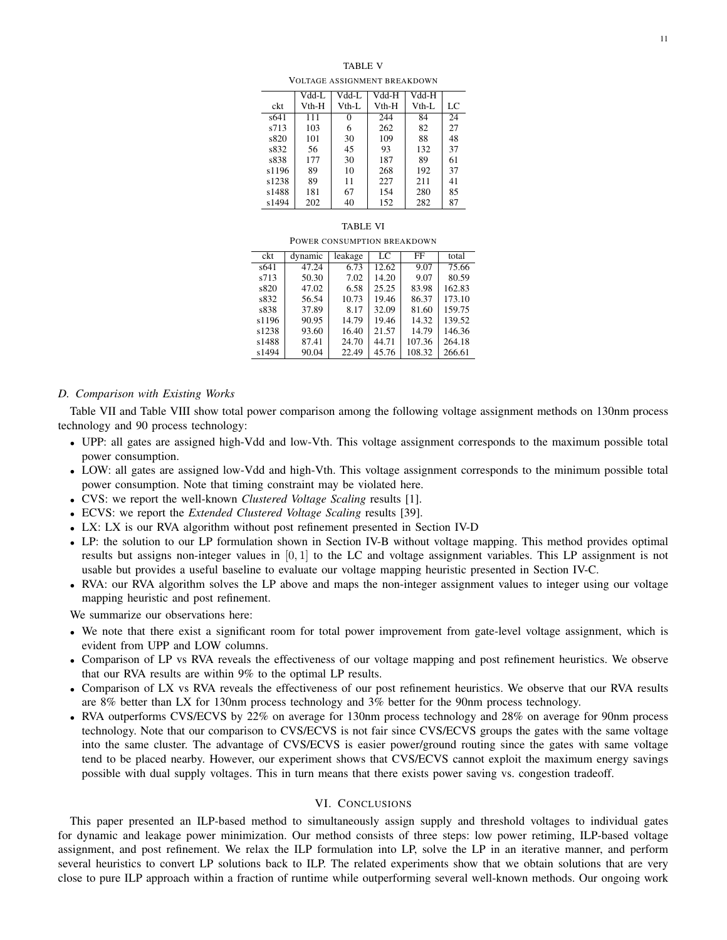## TABLE V

VOLTAGE ASSIGNMENT BREAKDOWN

|       | Vdd-L | Vdd-L | Vdd-H | Vdd-H   |    |
|-------|-------|-------|-------|---------|----|
| ckt   | Vth-H | Vth-L | Vth-H | $Vth-L$ | LC |
| s641  | 111   | 0     | 244   | 84      | 24 |
| s713  | 103   | 6     | 262   | 82      | 27 |
| s820  | 101   | 30    | 109   | 88      | 48 |
| s832  | 56    | 45    | 93    | 132     | 37 |
| s838  | 177   | 30    | 187   | 89      | 61 |
| s1196 | 89    | 10    | 268   | 192     | 37 |
| s1238 | 89    | 11    | 227   | 211     | 41 |
| s1488 | 181   | 67    | 154   | 280     | 85 |
| s1494 | 202   | 40    | 152   | 282     | 87 |
|       |       |       |       |         |    |

#### TABLE VI

#### POWER CONSUMPTION BREAKDOWN

| ckt   | dynamic | leakage | LC    | FF     | total  |
|-------|---------|---------|-------|--------|--------|
| s641  | 47.24   | 6.73    | 12.62 | 9.07   | 75.66  |
| s713  | 50.30   | 7.02    | 14.20 | 9.07   | 80.59  |
| s820  | 47.02   | 6.58    | 25.25 | 83.98  | 162.83 |
| s832  | 56.54   | 10.73   | 19.46 | 86.37  | 173.10 |
| s838  | 37.89   | 8.17    | 32.09 | 81.60  | 159.75 |
| s1196 | 90.95   | 14.79   | 19.46 | 14.32  | 139.52 |
| s1238 | 93.60   | 16.40   | 21.57 | 14.79  | 146.36 |
| s1488 | 87.41   | 24.70   | 44.71 | 107.36 | 264.18 |
| s1494 | 90.04   | 22.49   | 45.76 | 108.32 | 266.61 |

# *D. Comparison with Existing Works*

Table VII and Table VIII show total power comparison among the following voltage assignment methods on 130nm process technology and 90 process technology:

- UPP: all gates are assigned high-Vdd and low-Vth. This voltage assignment corresponds to the maximum possible total power consumption.
- LOW: all gates are assigned low-Vdd and high-Vth. This voltage assignment corresponds to the minimum possible total power consumption. Note that timing constraint may be violated here.
- CVS: we report the well-known *Clustered Voltage Scaling* results [1].
- ECVS: we report the *Extended Clustered Voltage Scaling* results [39].
- LX: LX is our RVA algorithm without post refinement presented in Section IV-D
- LP: the solution to our LP formulation shown in Section IV-B without voltage mapping. This method provides optimal results but assigns non-integer values in [0, 1] to the LC and voltage assignment variables. This LP assignment is not usable but provides a useful baseline to evaluate our voltage mapping heuristic presented in Section IV-C.
- RVA: our RVA algorithm solves the LP above and maps the non-integer assignment values to integer using our voltage mapping heuristic and post refinement.

We summarize our observations here:

- We note that there exist a significant room for total power improvement from gate-level voltage assignment, which is evident from UPP and LOW columns.
- Comparison of LP vs RVA reveals the effectiveness of our voltage mapping and post refinement heuristics. We observe that our RVA results are within 9% to the optimal LP results.
- Comparison of LX vs RVA reveals the effectiveness of our post refinement heuristics. We observe that our RVA results are 8% better than LX for 130nm process technology and 3% better for the 90nm process technology.
- RVA outperforms CVS/ECVS by 22% on average for 130nm process technology and 28% on average for 90nm process technology. Note that our comparison to CVS/ECVS is not fair since CVS/ECVS groups the gates with the same voltage into the same cluster. The advantage of CVS/ECVS is easier power/ground routing since the gates with same voltage tend to be placed nearby. However, our experiment shows that CVS/ECVS cannot exploit the maximum energy savings possible with dual supply voltages. This in turn means that there exists power saving vs. congestion tradeoff.

# VI. CONCLUSIONS

This paper presented an ILP-based method to simultaneously assign supply and threshold voltages to individual gates for dynamic and leakage power minimization. Our method consists of three steps: low power retiming, ILP-based voltage assignment, and post refinement. We relax the ILP formulation into LP, solve the LP in an iterative manner, and perform several heuristics to convert LP solutions back to ILP. The related experiments show that we obtain solutions that are very close to pure ILP approach within a fraction of runtime while outperforming several well-known methods. Our ongoing work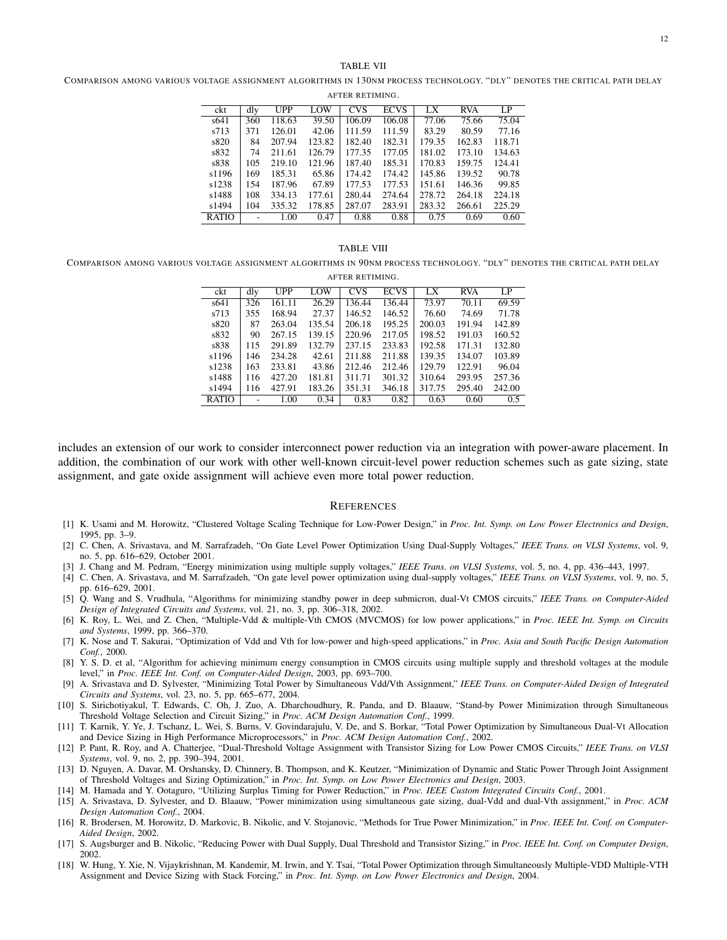## TABLE VII

COMPARISON AMONG VARIOUS VOLTAGE ASSIGNMENT ALGORITHMS IN 130NM PROCESS TECHNOLOGY. "DLY" DENOTES THE CRITICAL PATH DELAY

| AFTER RETIMING. |     |            |        |            |             |        |            |        |  |
|-----------------|-----|------------|--------|------------|-------------|--------|------------|--------|--|
| ckt             | dly | <b>UPP</b> | LOW    | <b>CVS</b> | <b>ECVS</b> | LX     | <b>RVA</b> | LP     |  |
| s641            | 360 | 118.63     | 39.50  | 106.09     | 106.08      | 77.06  | 75.66      | 75.04  |  |
| s713            | 371 | 126.01     | 42.06  | 111.59     | 111.59      | 83.29  | 80.59      | 77.16  |  |
| s820            | 84  | 207.94     | 123.82 | 182.40     | 182.31      | 179.35 | 162.83     | 118.71 |  |
| s832            | 74  | 211.61     | 126.79 | 177.35     | 177.05      | 181.02 | 173.10     | 134.63 |  |
| s838            | 105 | 219.10     | 121.96 | 187.40     | 185.31      | 170.83 | 159.75     | 124.41 |  |
| s1196           | 169 | 185.31     | 65.86  | 174.42     | 174.42      | 145.86 | 139.52     | 90.78  |  |
| s1238           | 154 | 187.96     | 67.89  | 177.53     | 177.53      | 151.61 | 146.36     | 99.85  |  |
| s1488           | 108 | 334.13     | 177.61 | 280.44     | 274.64      | 278.72 | 264.18     | 224.18 |  |
| s1494           | 104 | 335.32     | 178.85 | 287.07     | 283.91      | 283.32 | 266.61     | 225.29 |  |
| <b>RATIO</b>    |     | 1.00       | 0.47   | 0.88       | 0.88        | 0.75   | 0.69       | 0.60   |  |

#### TABLE VIII

COMPARISON AMONG VARIOUS VOLTAGE ASSIGNMENT ALGORITHMS IN 90NM PROCESS TECHNOLOGY. "DLY" DENOTES THE CRITICAL PATH DELAY AFTER RETIMING.

| AFIEK KEIIMINU. |     |        |        |            |             |        |            |        |  |
|-----------------|-----|--------|--------|------------|-------------|--------|------------|--------|--|
| ckt             | dly | UPP    | LOW    | <b>CVS</b> | <b>ECVS</b> | LX     | <b>RVA</b> | LP.    |  |
| s641            | 326 | 161.11 | 26.29  | 136.44     | 136.44      | 73.97  | 70.11      | 69.59  |  |
| s713            | 355 | 168.94 | 27.37  | 146.52     | 146.52      | 76.60  | 74.69      | 71.78  |  |
| s820            | 87  | 263.04 | 135.54 | 206.18     | 195.25      | 200.03 | 191.94     | 142.89 |  |
| s832            | 90  | 267.15 | 139.15 | 220.96     | 217.05      | 198.52 | 191.03     | 160.52 |  |
| s838            | 115 | 291.89 | 132.79 | 237.15     | 233.83      | 192.58 | 171.31     | 132.80 |  |
| s1196           | 146 | 234.28 | 42.61  | 211.88     | 211.88      | 139.35 | 134.07     | 103.89 |  |
| s1238           | 163 | 233.81 | 43.86  | 212.46     | 212.46      | 129.79 | 122.91     | 96.04  |  |
| s1488           | 116 | 427.20 | 181.81 | 311.71     | 301.32      | 310.64 | 293.95     | 257.36 |  |
| s1494           | 116 | 427.91 | 183.26 | 351.31     | 346.18      | 317.75 | 295.40     | 242.00 |  |
| <b>RATIO</b>    |     | 1.00   | 0.34   | 0.83       | 0.82        | 0.63   | 0.60       | 0.5    |  |

includes an extension of our work to consider interconnect power reduction via an integration with power-aware placement. In addition, the combination of our work with other well-known circuit-level power reduction schemes such as gate sizing, state assignment, and gate oxide assignment will achieve even more total power reduction.

#### **REFERENCES**

- [1] K. Usami and M. Horowitz, "Clustered Voltage Scaling Technique for Low-Power Design," in *Proc. Int. Symp. on Low Power Electronics and Design*, 1995, pp. 3–9.
- [2] C. Chen, A. Srivastava, and M. Sarrafzadeh, "On Gate Level Power Optimization Using Dual-Supply Voltages," *IEEE Trans. on VLSI Systems*, vol. 9, no. 5, pp. 616–629, October 2001.
- [3] J. Chang and M. Pedram, "Energy minimization using multiple supply voltages," *IEEE Trans. on VLSI Systems*, vol. 5, no. 4, pp. 436–443, 1997.
- [4] C. Chen, A. Srivastava, and M. Sarrafzadeh, "On gate level power optimization using dual-supply voltages," *IEEE Trans. on VLSI Systems*, vol. 9, no. 5, pp. 616–629, 2001.
- [5] Q. Wang and S. Vrudhula, "Algorithms for minimizing standby power in deep submicron, dual-Vt CMOS circuits," *IEEE Trans. on Computer-Aided Design of Integrated Circuits and Systems*, vol. 21, no. 3, pp. 306–318, 2002.
- [6] K. Roy, L. Wei, and Z. Chen, "Multiple-Vdd & multiple-Vth CMOS (MVCMOS) for low power applications," in *Proc. IEEE Int. Symp. on Circuits and Systems*, 1999, pp. 366–370.
- [7] K. Nose and T. Sakurai, "Optimization of Vdd and Vth for low-power and high-speed applications," in *Proc. Asia and South Pacific Design Automation Conf.*, 2000.
- [8] Y. S. D. et al, "Algorithm for achieving minimum energy consumption in CMOS circuits using multiple supply and threshold voltages at the module level," in *Proc. IEEE Int. Conf. on Computer-Aided Design*, 2003, pp. 693–700.
- [9] A. Srivastava and D. Sylvester, "Minimizing Total Power by Simultaneous Vdd/Vth Assignment," *IEEE Trans. on Computer-Aided Design of Integrated Circuits and Systems*, vol. 23, no. 5, pp. 665–677, 2004.
- [10] S. Sirichotiyakul, T. Edwards, C. Oh, J. Zuo, A. Dharchoudhury, R. Panda, and D. Blaauw, "Stand-by Power Minimization through Simultaneous Threshold Voltage Selection and Circuit Sizing," in *Proc. ACM Design Automation Conf.*, 1999.
- [11] T. Karnik, Y. Ye, J. Tschanz, L. Wei, S. Burns, V. Govindarajulu, V. De, and S. Borkar, "Total Power Optimization by Simultaneous Dual-Vt Allocation and Device Sizing in High Performance Microprocessors," in *Proc. ACM Design Automation Conf.*, 2002.
- [12] P. Pant, R. Roy, and A. Chatterjee, "Dual-Threshold Voltage Assignment with Transistor Sizing for Low Power CMOS Circuits," *IEEE Trans. on VLSI Systems*, vol. 9, no. 2, pp. 390–394, 2001.
- [13] D. Nguyen, A. Davar, M. Orshansky, D. Chinnery, B. Thompson, and K. Keutzer, "Minimization of Dynamic and Static Power Through Joint Assignment of Threshold Voltages and Sizing Optimization," in *Proc. Int. Symp. on Low Power Electronics and Design*, 2003.
- [14] M. Hamada and Y. Ootaguro, "Utilizing Surplus Timing for Power Reduction," in *Proc. IEEE Custom Integrated Circuits Conf.*, 2001.
- [15] A. Srivastava, D. Sylvester, and D. Blaauw, "Power minimization using simultaneous gate sizing, dual-Vdd and dual-Vth assignment," in *Proc. ACM Design Automation Conf.*, 2004.
- [16] R. Brodersen, M. Horowitz, D. Markovic, B. Nikolic, and V. Stojanovic, "Methods for True Power Minimization," in *Proc. IEEE Int. Conf. on Computer-Aided Design*, 2002.
- [17] S. Augsburger and B. Nikolic, "Reducing Power with Dual Supply, Dual Threshold and Transistor Sizing," in *Proc. IEEE Int. Conf. on Computer Design*, 2002.
- [18] W. Hung, Y. Xie, N. Vijaykrishnan, M. Kandemir, M. Irwin, and Y. Tsai, "Total Power Optimization through Simultaneously Multiple-VDD Multiple-VTH Assignment and Device Sizing with Stack Forcing," in *Proc. Int. Symp. on Low Power Electronics and Design*, 2004.